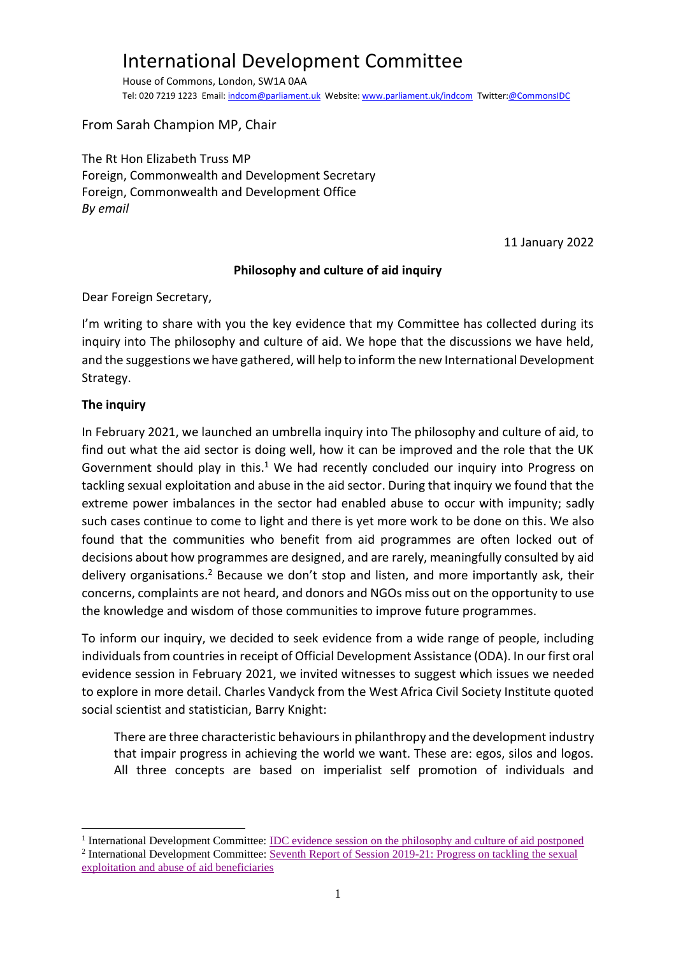# International Development Committee

House of Commons, London, SW1A 0AA Tel: 020 7219 1223 Email[: indcom@parliament.uk](mailto:indcom@parliament.uk) Website[: www.parliament.uk/indcom](http://www.parliament.uk/indcom) Twitter[:@CommonsIDC](https://twitter.com/CommonsIDC)

From Sarah Champion MP, Chair

The Rt Hon Elizabeth Truss MP Foreign, Commonwealth and Development Secretary Foreign, Commonwealth and Development Office *By email*

11 January 2022

#### **Philosophy and culture of aid inquiry**

Dear Foreign Secretary,

I'm writing to share with you the key evidence that my Committee has collected during its inquiry into The philosophy and culture of aid. We hope that the discussions we have held, and the suggestions we have gathered, will help to inform the new International Development Strategy.

#### **The inquiry**

In February 2021, we launched an umbrella inquiry into The philosophy and culture of aid, to find out what the aid sector is doing well, how it can be improved and the role that the UK Government should play in this.<sup>1</sup> We had recently concluded our inquiry into Progress on tackling sexual exploitation and abuse in the aid sector. During that inquiry we found that the extreme power imbalances in the sector had enabled abuse to occur with impunity; sadly such cases continue to come to light and there is yet more work to be done on this. We also found that the communities who benefit from aid programmes are often locked out of decisions about how programmes are designed, and are rarely, meaningfully consulted by aid delivery organisations.<sup>2</sup> Because we don't stop and listen, and more importantly ask, their concerns, complaints are not heard, and donors and NGOs miss out on the opportunity to use the knowledge and wisdom of those communities to improve future programmes.

To inform our inquiry, we decided to seek evidence from a wide range of people, including individuals from countries in receipt of Official Development Assistance (ODA). In our first oral evidence session in February 2021, we invited witnesses to suggest which issues we needed to explore in more detail. Charles Vandyck from the West Africa Civil Society Institute quoted social scientist and statistician, Barry Knight:

There are three characteristic behaviours in philanthropy and the development industry that impair progress in achieving the world we want. These are: egos, silos and logos. All three concepts are based on imperialist self promotion of individuals and

<sup>&</sup>lt;sup>1</sup> International Development Committee: **IDC** evidence session on the philosophy and culture of aid postponed <sup>2</sup> International Development Committee: [Seventh Report of Session 2019-21:](https://committees.parliament.uk/publications/4275/documents/43423/default/) Progress on tackling the sexual [exploitation and abuse of aid beneficiaries](https://committees.parliament.uk/publications/4275/documents/43423/default/)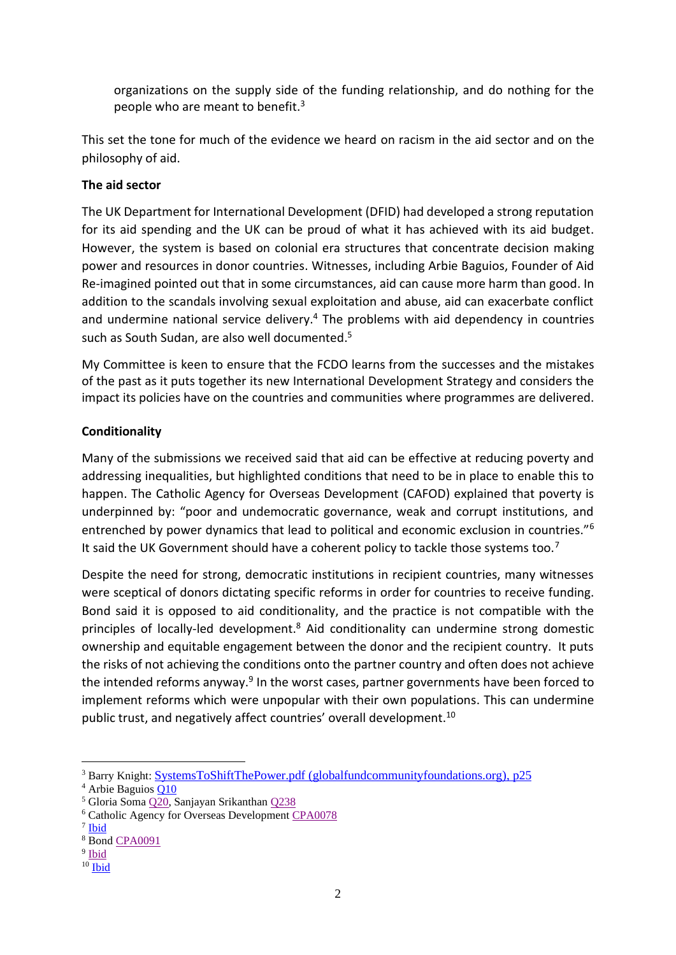organizations on the supply side of the funding relationship, and do nothing for the people who are meant to benefit. $3$ 

This set the tone for much of the evidence we heard on racism in the aid sector and on the philosophy of aid.

# **The aid sector**

The UK Department for International Development (DFID) had developed a strong reputation for its aid spending and the UK can be proud of what it has achieved with its aid budget. However, the system is based on colonial era structures that concentrate decision making power and resources in donor countries. Witnesses, including Arbie Baguios, Founder of Aid Re-imagined pointed out that in some circumstances, aid can cause more harm than good. In addition to the scandals involving sexual exploitation and abuse, aid can exacerbate conflict and undermine national service delivery. <sup>4</sup> The problems with aid dependency in countries such as South Sudan, are also well documented.<sup>5</sup>

My Committee is keen to ensure that the FCDO learns from the successes and the mistakes of the past as it puts together its new International Development Strategy and considers the impact its policies have on the countries and communities where programmes are delivered.

# **Conditionality**

Many of the submissions we received said that aid can be effective at reducing poverty and addressing inequalities, but highlighted conditions that need to be in place to enable this to happen. The Catholic Agency for Overseas Development (CAFOD) explained that poverty is underpinned by: "poor and undemocratic governance, weak and corrupt institutions, and entrenched by power dynamics that lead to political and economic exclusion in countries."<sup>6</sup> It said the UK Government should have a coherent policy to tackle those systems too.<sup>7</sup>

Despite the need for strong, democratic institutions in recipient countries, many witnesses were sceptical of donors dictating specific reforms in order for countries to receive funding. Bond said it is opposed to aid conditionality, and the practice is not compatible with the principles of locally-led development.<sup>8</sup> Aid conditionality can undermine strong domestic ownership and equitable engagement between the donor and the recipient country. It puts the risks of not achieving the conditions onto the partner country and often does not achieve the intended reforms anyway.<sup>9</sup> In the worst cases, partner governments have been forced to implement reforms which were unpopular with their own populations. This can undermine public trust, and negatively affect countries' overall development.<sup>10</sup>

<sup>&</sup>lt;sup>3</sup> Barry Knight: [SystemsToShiftThePower.pdf \(globalfundcommunityfoundations.org\),](https://globalfundcommunityfoundations.org/wp-content/uploads/2019/11/SystemsToShiftThePower.pdf) p25

<sup>&</sup>lt;sup>4</sup> Arbie Baguios **Q10** 

<sup>5</sup> Gloria Soma [Q20,](https://committees.parliament.uk/oralevidence/1857/pdf/) Sanjayan Srikanthan [Q238](https://committees.parliament.uk/oralevidence/3114/pdf/)

<sup>6</sup> Catholic Agency for Overseas Development [CPA0078](https://committees.parliament.uk/writtenevidence/39281/pdf/)

<sup>&</sup>lt;sup>7</sup> [Ibid](https://committees.parliament.uk/writtenevidence/39281/pdf/)

<sup>8</sup> Bond [CPA0091](https://committees.parliament.uk/writtenevidence/39783/pdf/)

<sup>&</sup>lt;sup>9</sup> [Ibid](https://committees.parliament.uk/writtenevidence/39783/pdf/)

 $10$  [Ibid](https://committees.parliament.uk/writtenevidence/39783/pdf/)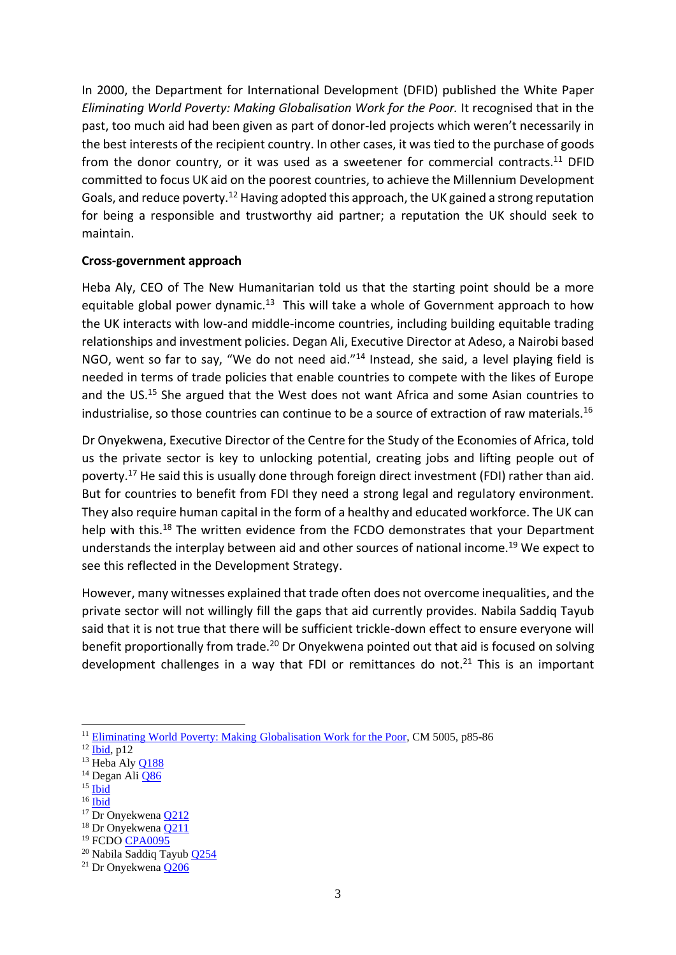In 2000, the Department for International Development (DFID) published the White Paper *Eliminating World Poverty: Making Globalisation Work for the Poor.* It recognised that in the past, too much aid had been given as part of donor-led projects which weren't necessarily in the best interests of the recipient country. In other cases, it was tied to the purchase of goods from the donor country, or it was used as a sweetener for commercial contracts.<sup>11</sup> DFID committed to focus UK aid on the poorest countries, to achieve the Millennium Development Goals, and reduce poverty.<sup>12</sup> Having adopted this approach, the UK gained a strong reputation for being a responsible and trustworthy aid partner; a reputation the UK should seek to maintain.

#### **Cross-government approach**

Heba Aly, CEO of The New Humanitarian told us that the starting point should be a more equitable global power dynamic.<sup>13</sup> This will take a whole of Government approach to how the UK interacts with low-and middle-income countries, including building equitable trading relationships and investment policies. Degan Ali, Executive Director at Adeso, a Nairobi based NGO, went so far to say, "We do not need aid."<sup>14</sup> Instead, she said, a level playing field is needed in terms of trade policies that enable countries to compete with the likes of Europe and the US.<sup>15</sup> She argued that the West does not want Africa and some Asian countries to industrialise, so those countries can continue to be a source of extraction of raw materials.<sup>16</sup>

Dr Onyekwena, Executive Director of the Centre for the Study of the Economies of Africa, told us the private sector is key to unlocking potential, creating jobs and lifting people out of poverty.<sup>17</sup> He said this is usually done through foreign direct investment (FDI) rather than aid. But for countries to benefit from FDI they need a strong legal and regulatory environment. They also require human capital in the form of a healthy and educated workforce. The UK can help with this.<sup>18</sup> The written evidence from the FCDO demonstrates that your Department understands the interplay between aid and other sources of national income.<sup>19</sup> We expect to see this reflected in the Development Strategy.

However, many witnesses explained that trade often does not overcome inequalities, and the private sector will not willingly fill the gaps that aid currently provides. Nabila Saddiq Tayub said that it is not true that there will be sufficient trickle-down effect to ensure everyone will benefit proportionally from trade.<sup>20</sup> Dr Onyekwena pointed out that aid is focused on solving development challenges in a way that FDI or remittances do not.<sup>21</sup> This is an important

- <sup>15</sup> [Ibid](https://committees.parliament.uk/oralevidence/2264/pdf/)
- $16$  [Ibid](https://committees.parliament.uk/oralevidence/2264/pdf/)

<sup>&</sup>lt;sup>11</sup> [Eliminating World Poverty: Making Globalisation Work for the Poor,](https://webarchive.nationalarchives.gov.uk/ukgwa/+/http:/www.dfid.gov.uk/Documents/publications/whitepaper2000.pdf) CM 5005, p85-86

 $^{12}$   $\overline{I$ bid, p12

<sup>&</sup>lt;sup>13</sup> Heba Aly [Q188](https://committees.parliament.uk/oralevidence/2990/pdf/)

<sup>&</sup>lt;sup>14</sup> Degan Ali **[Q86](https://committees.parliament.uk/oralevidence/2264/pdf/)** 

 $17$  Dr Onyekwena  $Q212$ 

<sup>18</sup> Dr Onyekwena [Q211](https://committees.parliament.uk/oralevidence/2264/pdf/)

<sup>19</sup> FCDO [CPA0095](https://committees.parliament.uk/writtenevidence/40912/pdf/)

<sup>20</sup> Nabila Saddiq Tayub [Q254](https://committees.parliament.uk/oralevidence/3114/pdf/)

<sup>21</sup> Dr Onyekwena [Q206](https://committees.parliament.uk/oralevidence/2990/pdf/)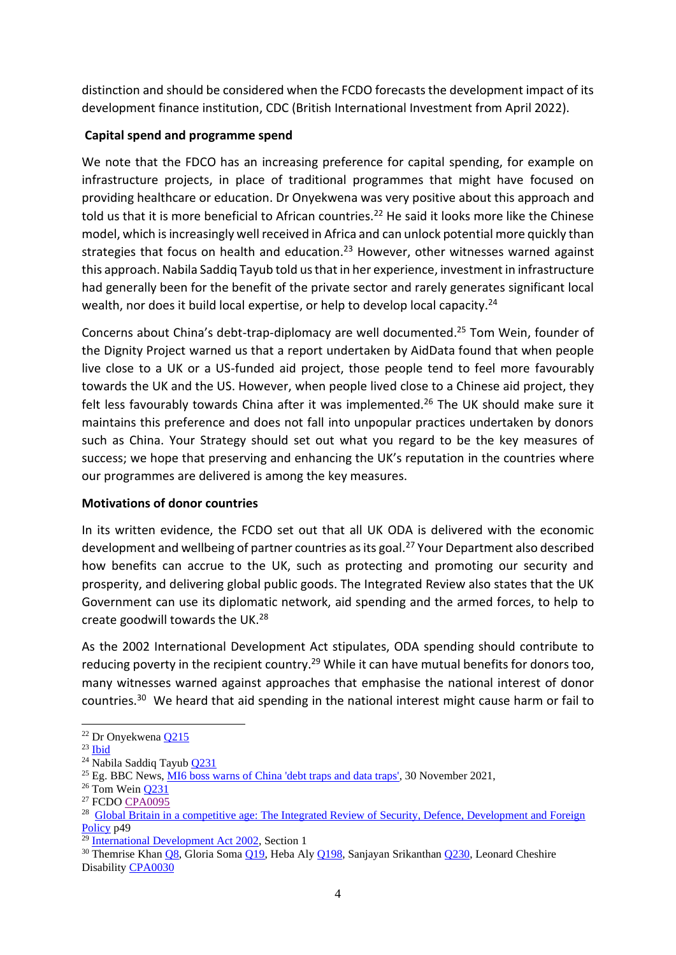distinction and should be considered when the FCDO forecasts the development impact of its development finance institution, CDC (British International Investment from April 2022).

# **Capital spend and programme spend**

We note that the FDCO has an increasing preference for capital spending, for example on infrastructure projects, in place of traditional programmes that might have focused on providing healthcare or education. Dr Onyekwena was very positive about this approach and told us that it is more beneficial to African countries.<sup>22</sup> He said it looks more like the Chinese model, which is increasingly well received in Africa and can unlock potential more quickly than strategies that focus on health and education.<sup>23</sup> However, other witnesses warned against this approach. Nabila Saddiq Tayub told us that in her experience, investment in infrastructure had generally been for the benefit of the private sector and rarely generates significant local wealth, nor does it build local expertise, or help to develop local capacity.<sup>24</sup>

Concerns about China's debt-trap-diplomacy are well documented. <sup>25</sup> Tom Wein, founder of the Dignity Project warned us that a report undertaken by AidData found that when people live close to a UK or a US-funded aid project, those people tend to feel more favourably towards the UK and the US. However, when people lived close to a Chinese aid project, they felt less favourably towards China after it was implemented.<sup>26</sup> The UK should make sure it maintains this preference and does not fall into unpopular practices undertaken by donors such as China. Your Strategy should set out what you regard to be the key measures of success; we hope that preserving and enhancing the UK's reputation in the countries where our programmes are delivered is among the key measures.

# **Motivations of donor countries**

In its written evidence, the FCDO set out that all UK ODA is delivered with the economic development and wellbeing of partner countries as its goal.<sup>27</sup> Your Department also described how benefits can accrue to the UK, such as protecting and promoting our security and prosperity, and delivering global public goods. The Integrated Review also states that the UK Government can use its diplomatic network, aid spending and the armed forces, to help to create goodwill towards the UK.<sup>28</sup>

As the 2002 International Development Act stipulates, ODA spending should contribute to reducing poverty in the recipient country.<sup>29</sup> While it can have mutual benefits for donors too, many witnesses warned against approaches that emphasise the national interest of donor countries.<sup>30</sup> We heard that aid spending in the national interest might cause harm or fail to

 $22$  Dr Onyekwena  $Q215$ 

 $23$  [Ibid](https://committees.parliament.uk/oralevidence/2990/pdf/)

<sup>24</sup> Nabila Saddiq Tayub [Q231](https://committees.parliament.uk/oralevidence/3114/pdf/)

<sup>&</sup>lt;sup>25</sup> Eg. BBC News,  $\overline{M16}$  boss warns of China 'debt traps and data traps', 30 November 2021,

 $26$  Tom Wein  $Q231$ 

<sup>27</sup> FCDO [CPA0095](https://committees.parliament.uk/writtenevidence/40912/pdf/)

<sup>&</sup>lt;sup>28</sup> Global Britain in a competitive age: The Integrated Review of Security, Defence, Development and Foreign [Policy](https://assets.publishing.service.gov.uk/government/uploads/system/uploads/attachment_data/file/975077/Global_Britain_in_a_Competitive_Age-_the_Integrated_Review_of_Security__Defence__Development_and_Foreign_Policy.pdf) p49

<sup>29</sup> [International Development Act 2002,](https://www.legislation.gov.uk/ukpga/2002/1/section/1) Section 1

<sup>&</sup>lt;sup>30</sup> Themrise Khan [Q8,](https://committees.parliament.uk/oralevidence/1749/pdf/) Gloria Soma [Q19,](https://committees.parliament.uk/oralevidence/1857/pdf/) Heba Aly [Q198,](https://committees.parliament.uk/oralevidence/2990/pdf/) Sanjayan Srikantha[n Q230,](https://committees.parliament.uk/oralevidence/3114/pdf/) Leonard Cheshire Disability [CPA0030](https://committees.parliament.uk/writtenevidence/23876/pdf/)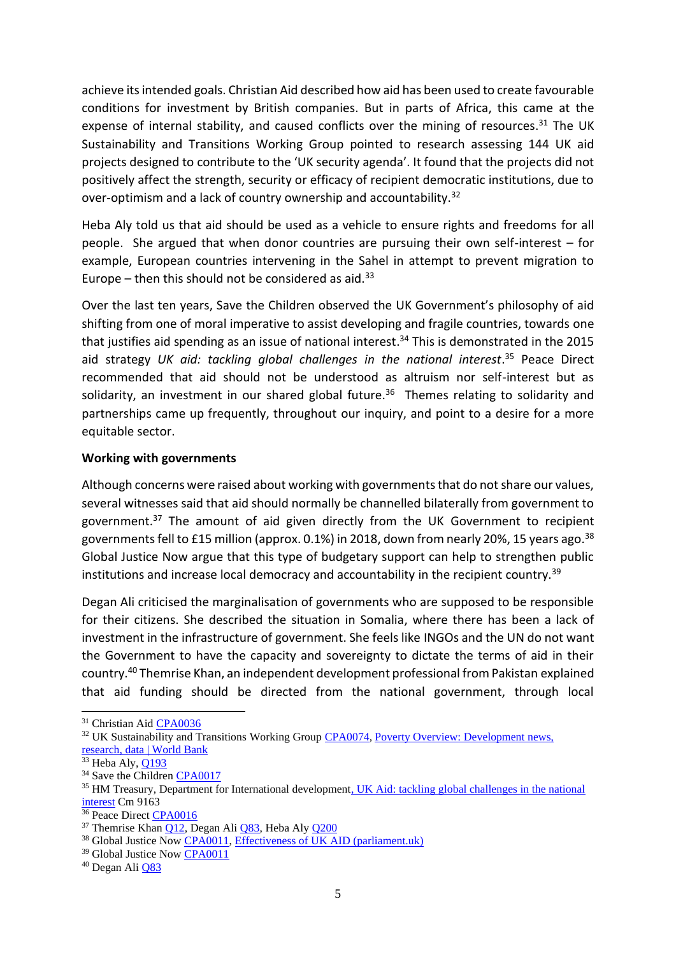achieve its intended goals. Christian Aid described how aid has been used to create favourable conditions for investment by British companies. But in parts of Africa, this came at the expense of internal stability, and caused conflicts over the mining of resources.<sup>31</sup> The UK Sustainability and Transitions Working Group pointed to research assessing 144 UK aid projects designed to contribute to the 'UK security agenda'. It found that the projects did not positively affect the strength, security or efficacy of recipient democratic institutions, due to over-optimism and a lack of country ownership and accountability.<sup>32</sup>

Heba Aly told us that aid should be used as a vehicle to ensure rights and freedoms for all people. She argued that when donor countries are pursuing their own self-interest – for example, European countries intervening in the Sahel in attempt to prevent migration to Europe – then this should not be considered as aid. $33$ 

Over the last ten years, Save the Children observed the UK Government's philosophy of aid shifting from one of moral imperative to assist developing and fragile countries, towards one that justifies aid spending as an issue of national interest. <sup>34</sup> This is demonstrated in the 2015 aid strategy *UK aid: tackling global challenges in the national interest*. <sup>35</sup> Peace Direct recommended that aid should not be understood as altruism nor self-interest but as solidarity, an investment in our shared global future.<sup>36</sup> Themes relating to solidarity and partnerships came up frequently, throughout our inquiry, and point to a desire for a more equitable sector.

#### **Working with governments**

Although concerns were raised about working with governments that do not share our values, several witnesses said that aid should normally be channelled bilaterally from government to government.<sup>37</sup> The amount of aid given directly from the UK Government to recipient governments fell to £15 million (approx. 0.1%) in 2018, down from nearly 20%, 15 years ago.<sup>38</sup> Global Justice Now argue that this type of budgetary support can help to strengthen public institutions and increase local democracy and accountability in the recipient country.<sup>39</sup>

Degan Ali criticised the marginalisation of governments who are supposed to be responsible for their citizens. She described the situation in Somalia, where there has been a lack of investment in the infrastructure of government. She feels like INGOs and the UN do not want the Government to have the capacity and sovereignty to dictate the terms of aid in their country.<sup>40</sup> Themrise Khan, an independent development professional from Pakistan explained that aid funding should be directed from the national government, through local

<sup>32</sup> UK Sustainability and Transitions Working Group [CPA0074,](https://committees.parliament.uk/writtenevidence/39207/pdf/) Poverty Overview: Development news, [research, data | World Bank](https://www.worldbank.org/en/topic/poverty/overview#1)

<sup>31</sup> Christian Aid [CPA0036](https://committees.parliament.uk/writtenevidence/23889/pdf/)

 $33$  Heba Aly[, Q193](https://committees.parliament.uk/oralevidence/2990/pdf/)

<sup>&</sup>lt;sup>34</sup> Save the Children [CPA0017](https://committees.parliament.uk/writtenevidence/23829/pdf/)

<sup>35</sup> HM Treasury, Department for International developmen[t, UK Aid: tackling global challenges in the national](https://assets.publishing.service.gov.uk/government/uploads/system/uploads/attachment_data/file/478834/ODA_strategy_final_web_0905.pdf)  [interest](https://assets.publishing.service.gov.uk/government/uploads/system/uploads/attachment_data/file/478834/ODA_strategy_final_web_0905.pdf) Cm 9163

<sup>&</sup>lt;sup>36</sup> Peace Direct **CPA0016** 

 $37$  Themrise Khan [Q12,](https://committees.parliament.uk/oralevidence/1749/pdf/) Degan Ali [Q83,](https://committees.parliament.uk/oralevidence/2264/pdf/) Heba Aly [Q200](https://committees.parliament.uk/oralevidence/2990/pdf/)

<sup>&</sup>lt;sup>38</sup> Global Justice Now [CPA0011,](https://committees.parliament.uk/writtenevidence/23793/pdf/) [Effectiveness of UK AID \(parliament.uk\)](https://committees.parliament.uk/publications/1373/documents/12634/default/)

<sup>&</sup>lt;sup>39</sup> Global Justice Now [CPA0011](https://committees.parliament.uk/writtenevidence/23793/pdf/)

<sup>40</sup> Degan Ali [Q83](https://committees.parliament.uk/oralevidence/2264/pdf/)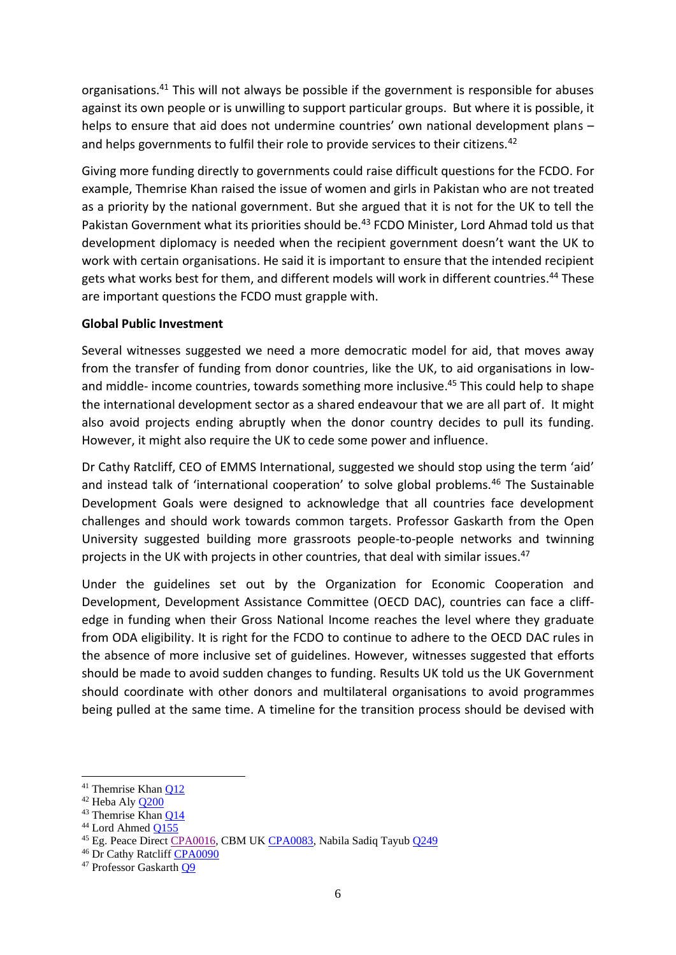organisations.<sup>41</sup> This will not always be possible if the government is responsible for abuses against its own people or is unwilling to support particular groups. But where it is possible, it helps to ensure that aid does not undermine countries' own national development plans and helps governments to fulfil their role to provide services to their citizens.<sup>42</sup>

Giving more funding directly to governments could raise difficult questions for the FCDO. For example, Themrise Khan raised the issue of women and girls in Pakistan who are not treated as a priority by the national government. But she argued that it is not for the UK to tell the Pakistan Government what its priorities should be.<sup>43</sup> FCDO Minister, Lord Ahmad told us that development diplomacy is needed when the recipient government doesn't want the UK to work with certain organisations. He said it is important to ensure that the intended recipient gets what works best for them, and different models will work in different countries. <sup>44</sup> These are important questions the FCDO must grapple with.

# **Global Public Investment**

Several witnesses suggested we need a more democratic model for aid, that moves away from the transfer of funding from donor countries, like the UK, to aid organisations in lowand middle- income countries, towards something more inclusive. <sup>45</sup> This could help to shape the international development sector as a shared endeavour that we are all part of. It might also avoid projects ending abruptly when the donor country decides to pull its funding. However, it might also require the UK to cede some power and influence.

Dr Cathy Ratcliff, CEO of EMMS International, suggested we should stop using the term 'aid' and instead talk of 'international cooperation' to solve global problems.<sup>46</sup> The Sustainable Development Goals were designed to acknowledge that all countries face development challenges and should work towards common targets. Professor Gaskarth from the Open University suggested building more grassroots people-to-people networks and twinning projects in the UK with projects in other countries, that deal with similar issues.<sup>47</sup>

Under the guidelines set out by the Organization for Economic Cooperation and Development, Development Assistance Committee (OECD DAC), countries can face a cliffedge in funding when their Gross National Income reaches the level where they graduate from ODA eligibility. It is right for the FCDO to continue to adhere to the OECD DAC rules in the absence of more inclusive set of guidelines. However, witnesses suggested that efforts should be made to avoid sudden changes to funding. Results UK told us the UK Government should coordinate with other donors and multilateral organisations to avoid programmes being pulled at the same time. A timeline for the transition process should be devised with

<sup>41</sup> Themrise Khan [Q12](https://committees.parliament.uk/oralevidence/1749/pdf/)

<sup>42</sup> Heba Aly [Q200](https://committees.parliament.uk/oralevidence/2990/pdf/)

<sup>43</sup> Themrise Khan [Q14](https://committees.parliament.uk/oralevidence/1749/pdf/)

<sup>44</sup> Lord Ahmed [Q155](https://committees.parliament.uk/oralevidence/2669/pdf/)

<sup>45</sup> Eg. Peace Direct [CPA0016,](https://committees.parliament.uk/writtenevidence/23824/pdf/) CBM UK [CPA0083,](https://committees.parliament.uk/writtenevidence/39357/pdf/) Nabila Sadiq Tayub [Q249](https://committees.parliament.uk/oralevidence/3114/pdf/)

<sup>46</sup> Dr Cathy Ratcliff [CPA0090](https://committees.parliament.uk/writtenevidence/39609/pdf/)

<sup>47</sup> Professor Gaskarth [Q9](https://committees.parliament.uk/oralevidence/1749/pdf/)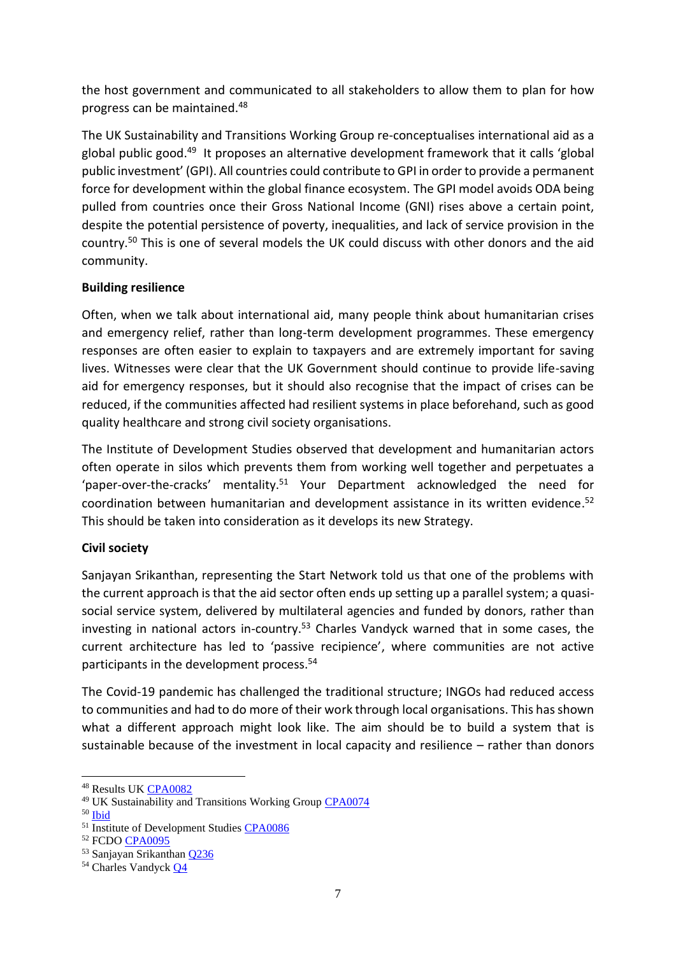the host government and communicated to all stakeholders to allow them to plan for how progress can be maintained.<sup>48</sup>

The UK Sustainability and Transitions Working Group re-conceptualises international aid as a global public good.<sup>49</sup> It proposes an alternative development framework that it calls 'global public investment' (GPI). All countries could contribute to GPI in order to provide a permanent force for development within the global finance ecosystem. The GPI model avoids ODA being pulled from countries once their Gross National Income (GNI) rises above a certain point, despite the potential persistence of poverty, inequalities, and lack of service provision in the country.<sup>50</sup> This is one of several models the UK could discuss with other donors and the aid community.

# **Building resilience**

Often, when we talk about international aid, many people think about humanitarian crises and emergency relief, rather than long-term development programmes. These emergency responses are often easier to explain to taxpayers and are extremely important for saving lives. Witnesses were clear that the UK Government should continue to provide life-saving aid for emergency responses, but it should also recognise that the impact of crises can be reduced, if the communities affected had resilient systems in place beforehand, such as good quality healthcare and strong civil society organisations.

The Institute of Development Studies observed that development and humanitarian actors often operate in silos which prevents them from working well together and perpetuates a 'paper-over-the-cracks' mentality.<sup>51</sup> Your Department acknowledged the need for coordination between humanitarian and development assistance in its written evidence. 52 This should be taken into consideration as it develops its new Strategy.

# **Civil society**

Sanjayan Srikanthan, representing the Start Network told us that one of the problems with the current approach is that the aid sector often ends up setting up a parallel system; a quasisocial service system, delivered by multilateral agencies and funded by donors, rather than investing in national actors in-country.<sup>53</sup> Charles Vandyck warned that in some cases, the current architecture has led to 'passive recipience', where communities are not active participants in the development process.<sup>54</sup>

The Covid-19 pandemic has challenged the traditional structure; INGOs had reduced access to communities and had to do more of their work through local organisations. This has shown what a different approach might look like. The aim should be to build a system that is sustainable because of the investment in local capacity and resilience – rather than donors

<sup>48</sup> Results UK [CPA0082](https://committees.parliament.uk/writtenevidence/39346/pdf/)

<sup>&</sup>lt;sup>49</sup> UK Sustainability and Transitions Working Group **CPA0074** 

<sup>50</sup> [Ibid](https://committees.parliament.uk/writtenevidence/39207/pdf/)

<sup>&</sup>lt;sup>51</sup> Institute of Development Studies [CPA0086](https://committees.parliament.uk/writtenevidence/39414/pdf/)

<sup>52</sup> FCDO [CPA0095](https://committees.parliament.uk/writtenevidence/40912/pdf/)

<sup>53</sup> Sanjayan Srikanthan [Q236](https://committees.parliament.uk/oralevidence/3114/pdf/)

<sup>54</sup> Charles Vandyc[k Q4](https://committees.parliament.uk/oralevidence/1749/pdf/)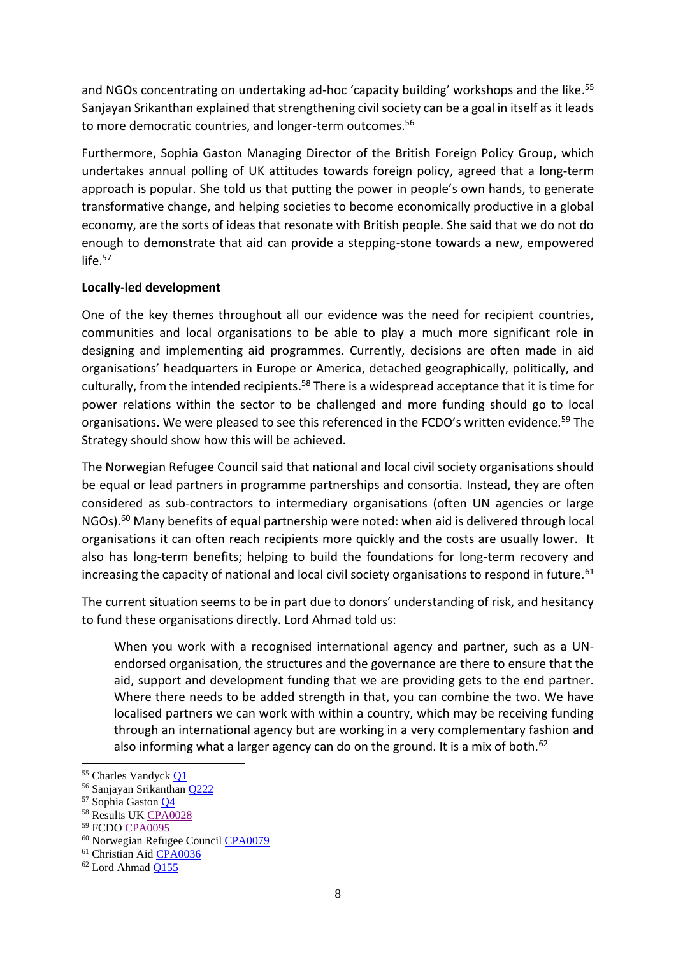and NGOs concentrating on undertaking ad-hoc 'capacity building' workshops and the like. 55 Sanjayan Srikanthan explained that strengthening civil society can be a goal in itself as it leads to more democratic countries, and longer-term outcomes.<sup>56</sup>

Furthermore, Sophia Gaston Managing Director of the British Foreign Policy Group, which undertakes annual polling of UK attitudes towards foreign policy, agreed that a long-term approach is popular. She told us that putting the power in people's own hands, to generate transformative change, and helping societies to become economically productive in a global economy, are the sorts of ideas that resonate with British people. She said that we do not do enough to demonstrate that aid can provide a stepping-stone towards a new, empowered life.<sup>57</sup>

# **Locally-led development**

One of the key themes throughout all our evidence was the need for recipient countries, communities and local organisations to be able to play a much more significant role in designing and implementing aid programmes. Currently, decisions are often made in aid organisations' headquarters in Europe or America, detached geographically, politically, and culturally, from the intended recipients.<sup>58</sup> There is a widespread acceptance that it is time for power relations within the sector to be challenged and more funding should go to local organisations. We were pleased to see this referenced in the FCDO's written evidence.<sup>59</sup> The Strategy should show how this will be achieved.

The Norwegian Refugee Council said that national and local civil society organisations should be equal or lead partners in programme partnerships and consortia. Instead, they are often considered as sub-contractors to intermediary organisations (often UN agencies or large NGOs).<sup>60</sup> Many benefits of equal partnership were noted: when aid is delivered through local organisations it can often reach recipients more quickly and the costs are usually lower. It also has long-term benefits; helping to build the foundations for long-term recovery and increasing the capacity of national and local civil society organisations to respond in future. $61$ 

The current situation seems to be in part due to donors' understanding of risk, and hesitancy to fund these organisations directly. Lord Ahmad told us:

When you work with a recognised international agency and partner, such as a UNendorsed organisation, the structures and the governance are there to ensure that the aid, support and development funding that we are providing gets to the end partner. Where there needs to be added strength in that, you can combine the two. We have localised partners we can work with within a country, which may be receiving funding through an international agency but are working in a very complementary fashion and also informing what a larger agency can do on the ground. It is a mix of both.<sup>62</sup>

<sup>55</sup> Charles Vandyc[k Q1](https://committees.parliament.uk/oralevidence/1749/pdf/)

<sup>56</sup> Sanjayan Srikanthan [Q222](https://committees.parliament.uk/oralevidence/3114/pdf/)

<sup>57</sup> Sophia Gaston [Q4](https://committees.parliament.uk/oralevidence/1749/pdf/)

<sup>58</sup> Results UK [CPA0028](https://committees.parliament.uk/writtenevidence/23865/pdf/)

<sup>59</sup> FCDO [CPA0095](https://committees.parliament.uk/writtenevidence/40912/pdf/)

<sup>60</sup> Norwegian Refugee Council [CPA0079](https://committees.parliament.uk/writtenevidence/39282/pdf/)

<sup>61</sup> Christian Ai[d CPA0036](https://committees.parliament.uk/writtenevidence/23889/pdf/)

<sup>62</sup> Lord Ahmad [Q155](https://committees.parliament.uk/oralevidence/2669/pdf/)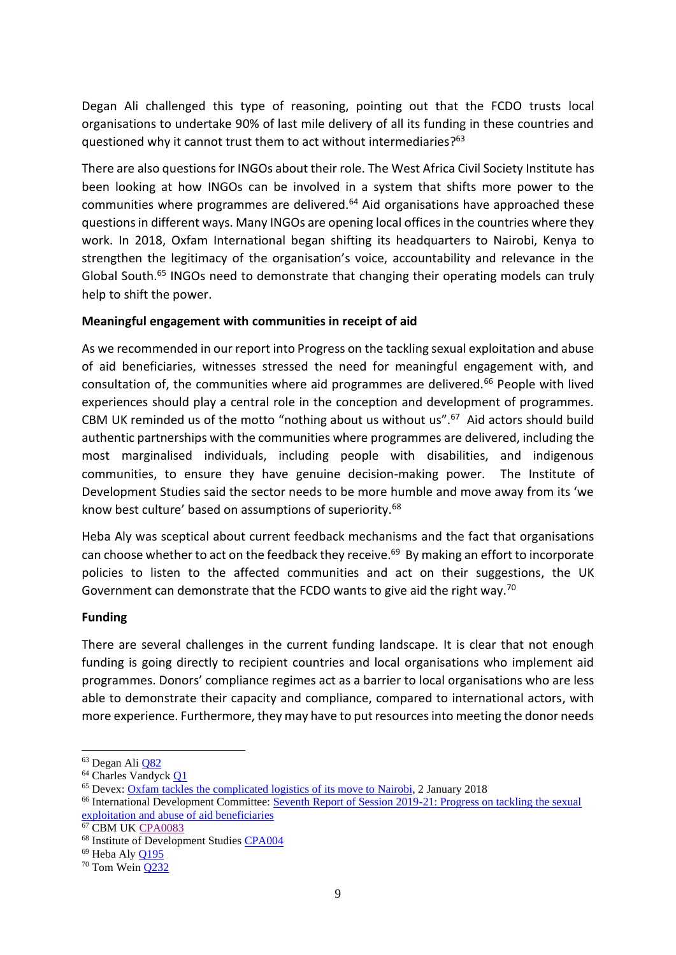Degan Ali challenged this type of reasoning, pointing out that the FCDO trusts local organisations to undertake 90% of last mile delivery of all its funding in these countries and questioned why it cannot trust them to act without intermediaries?<sup>63</sup>

There are also questions for INGOs about their role. The West Africa Civil Society Institute has been looking at how INGOs can be involved in a system that shifts more power to the communities where programmes are delivered.<sup>64</sup> Aid organisations have approached these questions in different ways. Many INGOs are opening local offices in the countries where they work. In 2018, Oxfam International began shifting its headquarters to Nairobi, Kenya to strengthen the legitimacy of the organisation's voice, accountability and relevance in the Global South.<sup>65</sup> INGOs need to demonstrate that changing their operating models can truly help to shift the power.

#### **Meaningful engagement with communities in receipt of aid**

As we recommended in our report into Progress on the tackling sexual exploitation and abuse of aid beneficiaries, witnesses stressed the need for meaningful engagement with, and consultation of, the communities where aid programmes are delivered.<sup>66</sup> People with lived experiences should play a central role in the conception and development of programmes. CBM UK reminded us of the motto "nothing about us without us". $67$  Aid actors should build authentic partnerships with the communities where programmes are delivered, including the most marginalised individuals, including people with disabilities, and indigenous communities, to ensure they have genuine decision-making power. The Institute of Development Studies said the sector needs to be more humble and move away from its 'we know best culture' based on assumptions of superiority.<sup>68</sup>

Heba Aly was sceptical about current feedback mechanisms and the fact that organisations can choose whether to act on the feedback they receive. 69 By making an effort to incorporate policies to listen to the affected communities and act on their suggestions, the UK Government can demonstrate that the FCDO wants to give aid the right way.<sup>70</sup>

# **Funding**

There are several challenges in the current funding landscape. It is clear that not enough funding is going directly to recipient countries and local organisations who implement aid programmes. Donors' compliance regimes act as a barrier to local organisations who are less able to demonstrate their capacity and compliance, compared to international actors, with more experience. Furthermore, they may have to put resources into meeting the donor needs

<sup>63</sup> Degan Ali [Q82](https://committees.parliament.uk/oralevidence/2264/pdf/)

<sup>64</sup> Charles Vandyck [Q1](https://committees.parliament.uk/oralevidence/1749/pdf/)

<sup>&</sup>lt;sup>65</sup> Devex: [Oxfam tackles the complicated](https://www.devex.com/news/oxfam-tackles-the-complicated-logistics-of-its-move-to-nairobi-91718) logistics of its move to Nairobi, 2 January 2018

<sup>66</sup> International Development Committee[: Seventh Report of Session 2019-21: Progress on tackling the sexual](https://committees.parliament.uk/publications/4275/documents/43423/default/)  [exploitation and abuse of aid beneficiaries](https://committees.parliament.uk/publications/4275/documents/43423/default/)

<sup>67</sup> CBM U[K CPA0083](https://committees.parliament.uk/writtenevidence/39357/pdf/)

<sup>68</sup> Institute of Development Studies [CPA004](https://committees.parliament.uk/writtenevidence/23606/pdf/)

<sup>69</sup> Heba Aly [Q195](https://committees.parliament.uk/oralevidence/2990/pdf/)

<sup>70</sup> Tom Wein [Q232](https://committees.parliament.uk/oralevidence/3114/pdf/)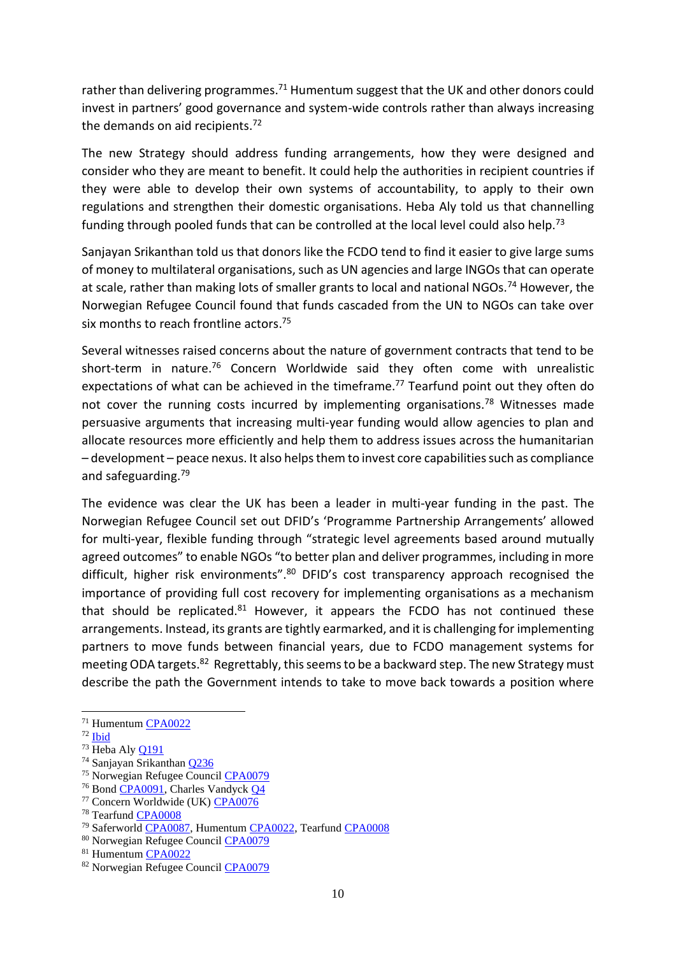rather than delivering programmes.<sup>71</sup> Humentum suggest that the UK and other donors could invest in partners' good governance and system-wide controls rather than always increasing the demands on aid recipients. $72$ 

The new Strategy should address funding arrangements, how they were designed and consider who they are meant to benefit. It could help the authorities in recipient countries if they were able to develop their own systems of accountability, to apply to their own regulations and strengthen their domestic organisations. Heba Aly told us that channelling funding through pooled funds that can be controlled at the local level could also help.<sup>73</sup>

Sanjayan Srikanthan told us that donors like the FCDO tend to find it easier to give large sums of money to multilateral organisations, such as UN agencies and large INGOs that can operate at scale, rather than making lots of smaller grants to local and national NGOs.<sup>74</sup> However, the Norwegian Refugee Council found that funds cascaded from the UN to NGOs can take over six months to reach frontline actors. 75

Several witnesses raised concerns about the nature of government contracts that tend to be short-term in nature.<sup>76</sup> Concern Worldwide said they often come with unrealistic expectations of what can be achieved in the timeframe.<sup>77</sup> Tearfund point out they often do not cover the running costs incurred by implementing organisations.<sup>78</sup> Witnesses made persuasive arguments that increasing multi-year funding would allow agencies to plan and allocate resources more efficiently and help them to address issues across the humanitarian – development – peace nexus. It also helps them to invest core capabilities such as compliance and safeguarding.<sup>79</sup>

The evidence was clear the UK has been a leader in multi-year funding in the past. The Norwegian Refugee Council set out DFID's 'Programme Partnership Arrangements' allowed for multi-year, flexible funding through "strategic level agreements based around mutually agreed outcomes" to enable NGOs "to better plan and deliver programmes, including in more difficult, higher risk environments".<sup>80</sup> DFID's cost transparency approach recognised the importance of providing full cost recovery for implementing organisations as a mechanism that should be replicated. $81$  However, it appears the FCDO has not continued these arrangements. Instead, its grants are tightly earmarked, and it is challenging for implementing partners to move funds between financial years, due to FCDO management systems for meeting ODA targets.<sup>82</sup> Regrettably, this seems to be a backward step. The new Strategy must describe the path the Government intends to take to move back towards a position where

<sup>71</sup> Humentu[m CPA0022](https://committees.parliament.uk/writtenevidence/23857/pdf/)

 $72$  [Ibid](https://committees.parliament.uk/writtenevidence/23857/pdf/)

 $73$  Heba Aly  $Q191$ 

<sup>74</sup> Sanjayan Srikanthan [Q236](https://committees.parliament.uk/oralevidence/3114/pdf/)

<sup>75</sup> Norwegian Refugee Council [CPA0079](https://committees.parliament.uk/writtenevidence/39282/pdf/)

<sup>76</sup> Bond [CPA0091,](https://committees.parliament.uk/writtenevidence/39783/pdf/) Charles Vandyck [Q4](https://committees.parliament.uk/oralevidence/1749/pdf/)

<sup>77</sup> Concern Worldwide (UK) [CPA0076](https://committees.parliament.uk/writtenevidence/39258/pdf/)

<sup>78</sup> Tearfund [CPA0008](https://committees.parliament.uk/writtenevidence/23749/pdf/)

<sup>79</sup> Saferworld [CPA0087,](https://committees.parliament.uk/writtenevidence/39415/pdf/) Humentum [CPA0022,](https://committees.parliament.uk/writtenevidence/23857/pdf/) Tearfun[d CPA0008](https://committees.parliament.uk/writtenevidence/23749/pdf/)

<sup>80</sup> Norwegian Refugee Council [CPA0079](https://committees.parliament.uk/writtenevidence/39282/pdf/)

<sup>81</sup> Humentu[m CPA0022](https://committees.parliament.uk/writtenevidence/23857/pdf/)

<sup>82</sup> Norwegian Refugee Council [CPA0079](https://committees.parliament.uk/writtenevidence/39282/pdf/)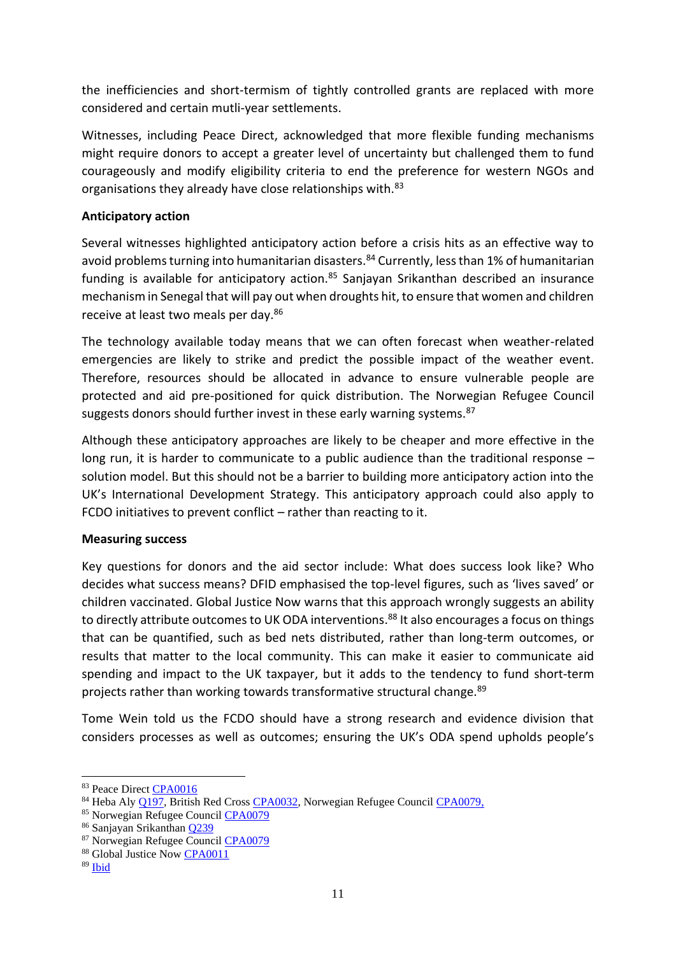the inefficiencies and short-termism of tightly controlled grants are replaced with more considered and certain mutli-year settlements.

Witnesses, including Peace Direct, acknowledged that more flexible funding mechanisms might require donors to accept a greater level of uncertainty but challenged them to fund courageously and modify eligibility criteria to end the preference for western NGOs and organisations they already have close relationships with.<sup>83</sup>

### **Anticipatory action**

Several witnesses highlighted anticipatory action before a crisis hits as an effective way to avoid problems turning into humanitarian disasters.<sup>84</sup> Currently, less than 1% of humanitarian funding is available for anticipatory action.<sup>85</sup> Sanjayan Srikanthan described an insurance mechanism in Senegal that will pay out when droughts hit, to ensure that women and children receive at least two meals per day.<sup>86</sup>

The technology available today means that we can often forecast when weather-related emergencies are likely to strike and predict the possible impact of the weather event. Therefore, resources should be allocated in advance to ensure vulnerable people are protected and aid pre-positioned for quick distribution. The Norwegian Refugee Council suggests donors should further invest in these early warning systems.<sup>87</sup>

Although these anticipatory approaches are likely to be cheaper and more effective in the long run, it is harder to communicate to a public audience than the traditional response – solution model. But this should not be a barrier to building more anticipatory action into the UK's International Development Strategy. This anticipatory approach could also apply to FCDO initiatives to prevent conflict – rather than reacting to it.

#### **Measuring success**

Key questions for donors and the aid sector include: What does success look like? Who decides what success means? DFID emphasised the top-level figures, such as 'lives saved' or children vaccinated. Global Justice Now warns that this approach wrongly suggests an ability to directly attribute outcomes to UK ODA interventions.<sup>88</sup> It also encourages a focus on things that can be quantified, such as bed nets distributed, rather than long-term outcomes, or results that matter to the local community. This can make it easier to communicate aid spending and impact to the UK taxpayer, but it adds to the tendency to fund short-term projects rather than working towards transformative structural change.<sup>89</sup>

Tome Wein told us the FCDO should have a strong research and evidence division that considers processes as well as outcomes; ensuring the UK's ODA spend upholds people's

<sup>83</sup> Peace Direct [CPA0016](https://committees.parliament.uk/writtenevidence/23824/pdf/)

<sup>&</sup>lt;sup>84</sup> Heba Aly [Q197,](https://committees.parliament.uk/oralevidence/2990/pdf/) British Red Cross [CPA0032,](https://committees.parliament.uk/writtenevidence/23879/pdf/) Norwegian Refugee Council [CPA0079,](https://committees.parliament.uk/writtenevidence/39282/pdf/)

<sup>85</sup> Norwegian Refugee Council [CPA0079](https://committees.parliament.uk/writtenevidence/39282/pdf/)

<sup>86</sup> Sanjayan Srikanthan [Q239](https://committees.parliament.uk/oralevidence/3114/pdf/)

<sup>87</sup> Norwegian Refugee Council [CPA0079](https://committees.parliament.uk/writtenevidence/39282/pdf/)

<sup>&</sup>lt;sup>88</sup> Global Justice Now [CPA0011](https://committees.parliament.uk/writtenevidence/23793/pdf/)

<sup>89</sup> [Ibid](https://committees.parliament.uk/writtenevidence/23793/pdf/)